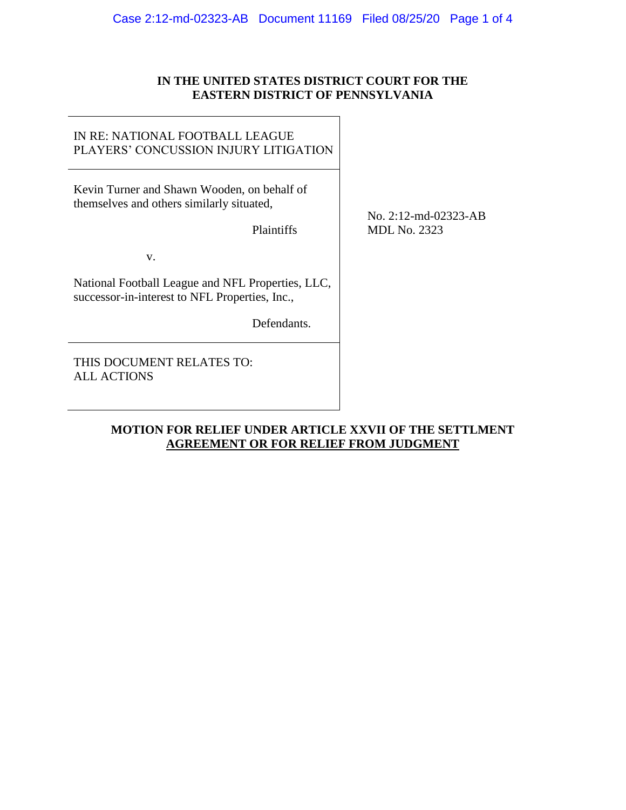### **IN THE UNITED STATES DISTRICT COURT FOR THE EASTERN DISTRICT OF PENNSYLVANIA**

### IN RE: NATIONAL FOOTBALL LEAGUE PLAYERS' CONCUSSION INJURY LITIGATION

Kevin Turner and Shawn Wooden, on behalf of themselves and others similarly situated,

Plaintiffs

v.

National Football League and NFL Properties, LLC, successor-in-interest to NFL Properties, Inc.,

Defendants.

THIS DOCUMENT RELATES TO: ALL ACTIONS

No. 2:12-md-02323-AB MDL No. 2323

## **MOTION FOR RELIEF UNDER ARTICLE XXVII OF THE SETTLMENT AGREEMENT OR FOR RELIEF FROM JUDGMENT**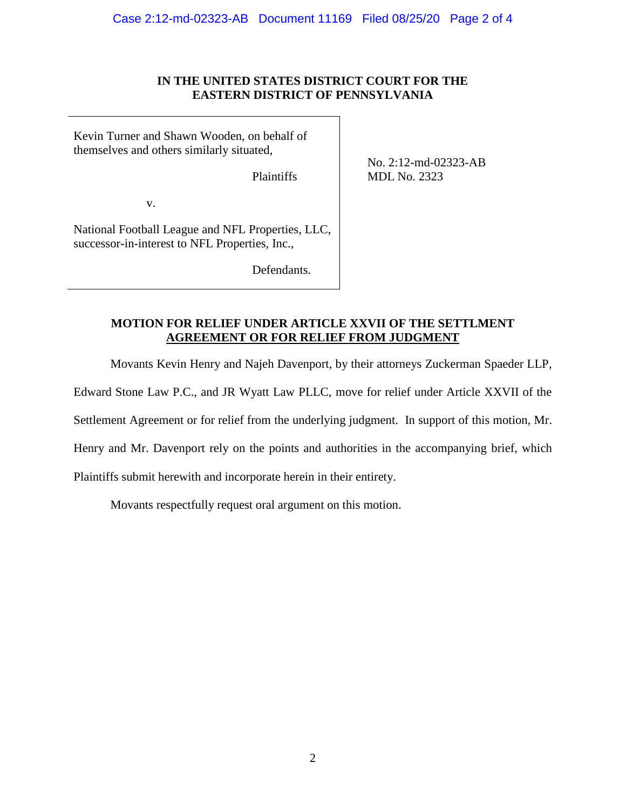### **IN THE UNITED STATES DISTRICT COURT FOR THE EASTERN DISTRICT OF PENNSYLVANIA**

Kevin Turner and Shawn Wooden, on behalf of themselves and others similarly situated,

Plaintiffs

No. 2:12-md-02323-AB MDL No. 2323

v.

National Football League and NFL Properties, LLC, successor-in-interest to NFL Properties, Inc.,

Defendants.

## **MOTION FOR RELIEF UNDER ARTICLE XXVII OF THE SETTLMENT AGREEMENT OR FOR RELIEF FROM JUDGMENT**

Movants Kevin Henry and Najeh Davenport, by their attorneys Zuckerman Spaeder LLP,

Edward Stone Law P.C., and JR Wyatt Law PLLC, move for relief under Article XXVII of the

Settlement Agreement or for relief from the underlying judgment. In support of this motion, Mr.

Henry and Mr. Davenport rely on the points and authorities in the accompanying brief, which

Plaintiffs submit herewith and incorporate herein in their entirety.

Movants respectfully request oral argument on this motion.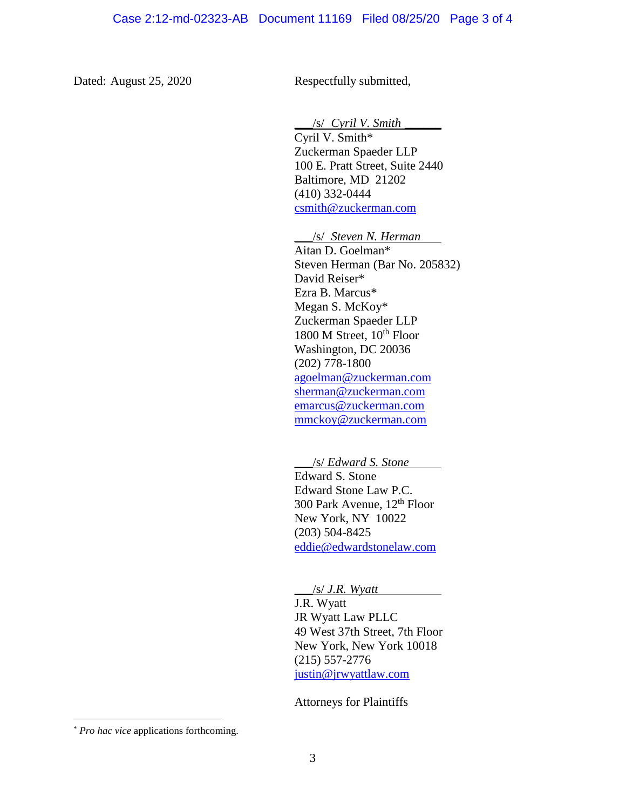Dated: August 25, 2020 Respectfully submitted,

\_\_\_/s/ *Cyril V. Smith* \_\_\_\_\_\_

Cyril V. Smith\* Zuckerman Spaeder LLP 100 E. Pratt Street, Suite 2440 Baltimore, MD 21202 (410) 332-0444 [csmith@zuckerman.com](mailto:csmith@zuckerman.com)

\_\_\_/s/ *Steven N. Herman*

Aitan D. Goelman\* Steven Herman (Bar No. 205832) David Reiser\*<sup>1</sup> Ezra B. Marcus\* Megan S. McKoy\* Zuckerman Spaeder LLP 1800 M Street,  $10^{th}$  Floor Washington, DC 20036 (202) 778-1800 [agoelman@zuckerman.com](mailto:agoelman@zuckerman.com) [sherman@zuckerman.com](mailto:sherman@zuckerman.com)  [emarcus@zuckerman.com](mailto:emarcus@zuckerman.com) mmckoy@zuckerman.com

\_\_\_/s/ *Edward S. Stone* Edward S. Stone Edward Stone Law P.C. 300 Park Avenue, 12th Floor New York, NY 10022 (203) 504-8425 [eddie@edwardstonelaw.com](mailto:eddie@edwardstonelaw.com)

\_\_\_/s/ *J.R. Wyatt*

J.R. Wyatt JR Wyatt Law PLLC 49 West 37th Street, 7th Floor New York, New York 10018 (215) 557-2776 [justin@jrwyattlaw.com](mailto:justin@jrwyattlaw.com)

Attorneys for Plaintiffs

 $\overline{a}$ 

<sup>\*</sup> *Pro hac vice* applications forthcoming.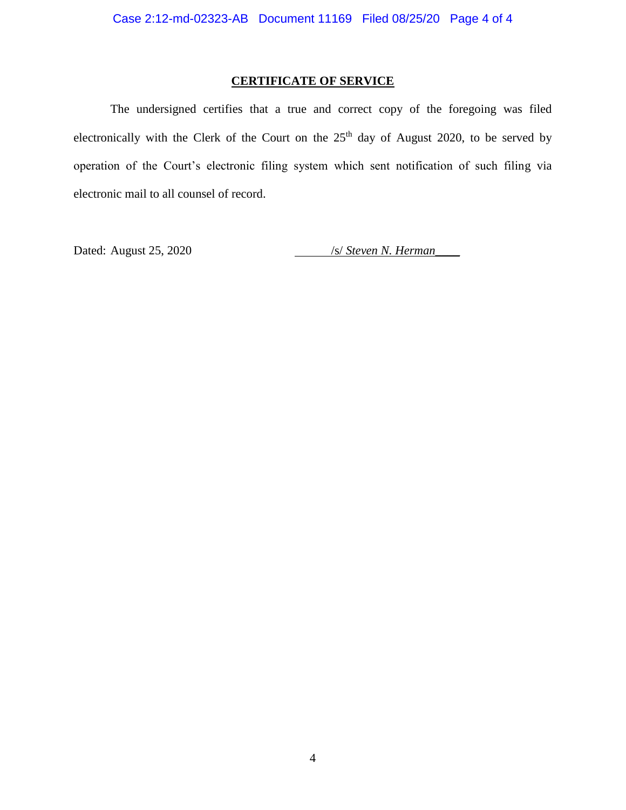## **CERTIFICATE OF SERVICE**

The undersigned certifies that a true and correct copy of the foregoing was filed electronically with the Clerk of the Court on the  $25<sup>th</sup>$  day of August 2020, to be served by operation of the Court's electronic filing system which sent notification of such filing via electronic mail to all counsel of record.

Dated: August 25, 2020 */s/ Steven N. Herman*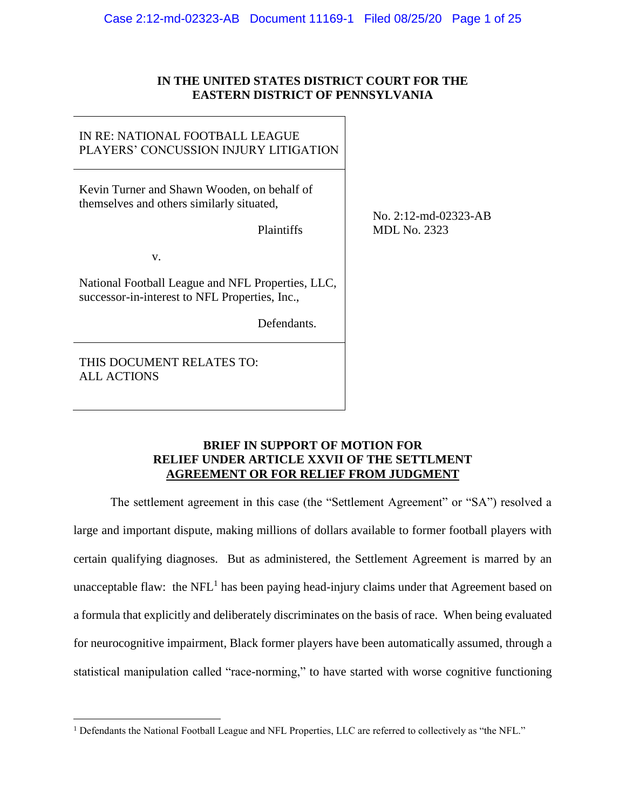### **IN THE UNITED STATES DISTRICT COURT FOR THE EASTERN DISTRICT OF PENNSYLVANIA**

### IN RE: NATIONAL FOOTBALL LEAGUE PLAYERS' CONCUSSION INJURY LITIGATION

Kevin Turner and Shawn Wooden, on behalf of themselves and others similarly situated,

Plaintiffs

v.

National Football League and NFL Properties, LLC, successor-in-interest to NFL Properties, Inc.,

Defendants.

THIS DOCUMENT RELATES TO: ALL ACTIONS

 $\overline{a}$ 

No. 2:12-md-02323-AB MDL No. 2323

### **BRIEF IN SUPPORT OF MOTION FOR RELIEF UNDER ARTICLE XXVII OF THE SETTLMENT AGREEMENT OR FOR RELIEF FROM JUDGMENT**

The settlement agreement in this case (the "Settlement Agreement" or "SA") resolved a large and important dispute, making millions of dollars available to former football players with certain qualifying diagnoses. But as administered, the Settlement Agreement is marred by an unacceptable flaw: the NFL<sup>1</sup> has been paying head-injury claims under that Agreement based on a formula that explicitly and deliberately discriminates on the basis of race. When being evaluated for neurocognitive impairment, Black former players have been automatically assumed, through a statistical manipulation called "race-norming," to have started with worse cognitive functioning

<sup>1</sup> Defendants the National Football League and NFL Properties, LLC are referred to collectively as "the NFL."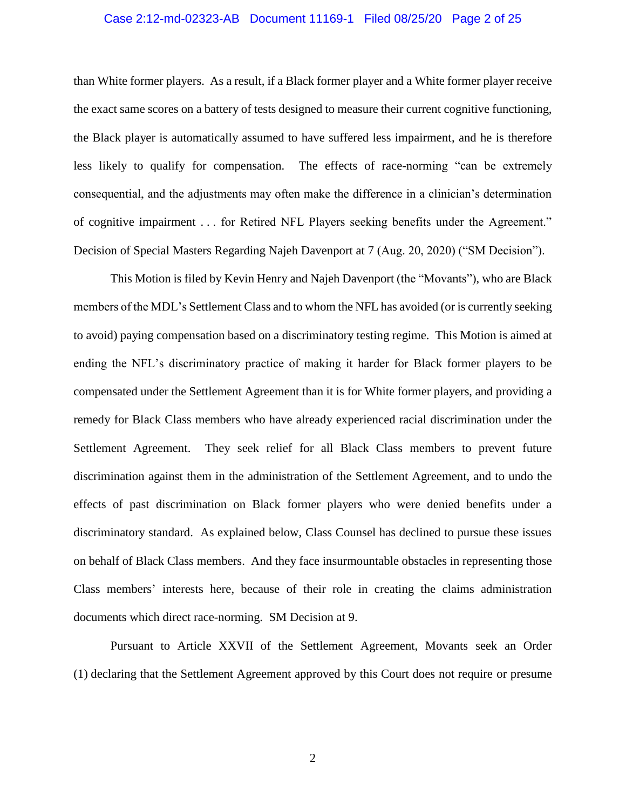#### Case 2:12-md-02323-AB Document 11169-1 Filed 08/25/20 Page 2 of 25

than White former players. As a result, if a Black former player and a White former player receive the exact same scores on a battery of tests designed to measure their current cognitive functioning, the Black player is automatically assumed to have suffered less impairment, and he is therefore less likely to qualify for compensation. The effects of race-norming "can be extremely consequential, and the adjustments may often make the difference in a clinician's determination of cognitive impairment . . . for Retired NFL Players seeking benefits under the Agreement." Decision of Special Masters Regarding Najeh Davenport at 7 (Aug. 20, 2020) ("SM Decision").

This Motion is filed by Kevin Henry and Najeh Davenport (the "Movants"), who are Black members of the MDL's Settlement Class and to whom the NFL has avoided (or is currently seeking to avoid) paying compensation based on a discriminatory testing regime. This Motion is aimed at ending the NFL's discriminatory practice of making it harder for Black former players to be compensated under the Settlement Agreement than it is for White former players, and providing a remedy for Black Class members who have already experienced racial discrimination under the Settlement Agreement. They seek relief for all Black Class members to prevent future discrimination against them in the administration of the Settlement Agreement, and to undo the effects of past discrimination on Black former players who were denied benefits under a discriminatory standard. As explained below, Class Counsel has declined to pursue these issues on behalf of Black Class members. And they face insurmountable obstacles in representing those Class members' interests here, because of their role in creating the claims administration documents which direct race-norming. SM Decision at 9.

Pursuant to Article XXVII of the Settlement Agreement, Movants seek an Order (1) declaring that the Settlement Agreement approved by this Court does not require or presume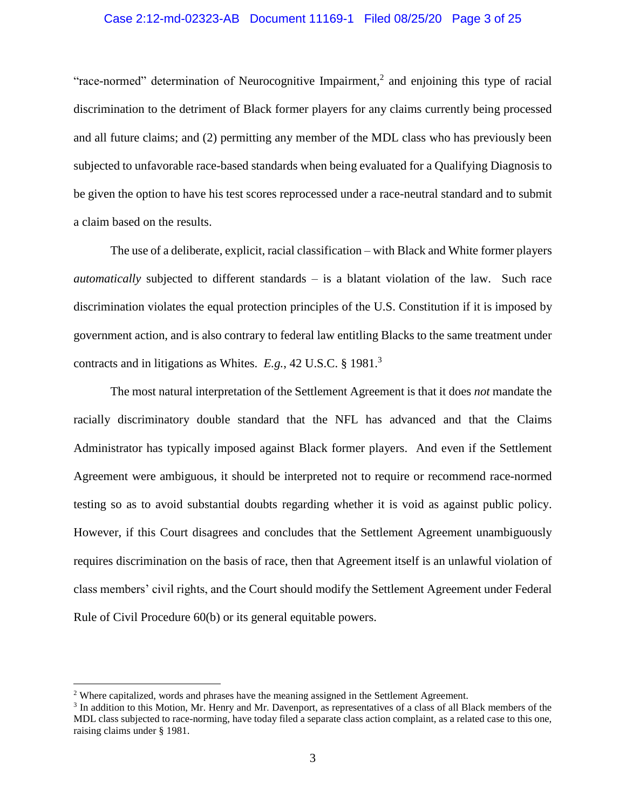#### Case 2:12-md-02323-AB Document 11169-1 Filed 08/25/20 Page 3 of 25

"race-normed" determination of Neurocognitive Impairment,<sup>2</sup> and enjoining this type of racial discrimination to the detriment of Black former players for any claims currently being processed and all future claims; and (2) permitting any member of the MDL class who has previously been subjected to unfavorable race-based standards when being evaluated for a Qualifying Diagnosis to be given the option to have his test scores reprocessed under a race-neutral standard and to submit a claim based on the results.

The use of a deliberate, explicit, racial classification – with Black and White former players *automatically* subjected to different standards – is a blatant violation of the law. Such race discrimination violates the equal protection principles of the U.S. Constitution if it is imposed by government action, and is also contrary to federal law entitling Blacks to the same treatment under contracts and in litigations as Whites. *E.g.*, 42 U.S.C. § 1981.<sup>3</sup>

The most natural interpretation of the Settlement Agreement is that it does *not* mandate the racially discriminatory double standard that the NFL has advanced and that the Claims Administrator has typically imposed against Black former players. And even if the Settlement Agreement were ambiguous, it should be interpreted not to require or recommend race-normed testing so as to avoid substantial doubts regarding whether it is void as against public policy. However, if this Court disagrees and concludes that the Settlement Agreement unambiguously requires discrimination on the basis of race, then that Agreement itself is an unlawful violation of class members' civil rights, and the Court should modify the Settlement Agreement under Federal Rule of Civil Procedure 60(b) or its general equitable powers.

 $\overline{a}$ 

<sup>2</sup> Where capitalized, words and phrases have the meaning assigned in the Settlement Agreement.

<sup>&</sup>lt;sup>3</sup> In addition to this Motion, Mr. Henry and Mr. Davenport, as representatives of a class of all Black members of the MDL class subjected to race-norming, have today filed a separate class action complaint, as a related case to this one, raising claims under § 1981.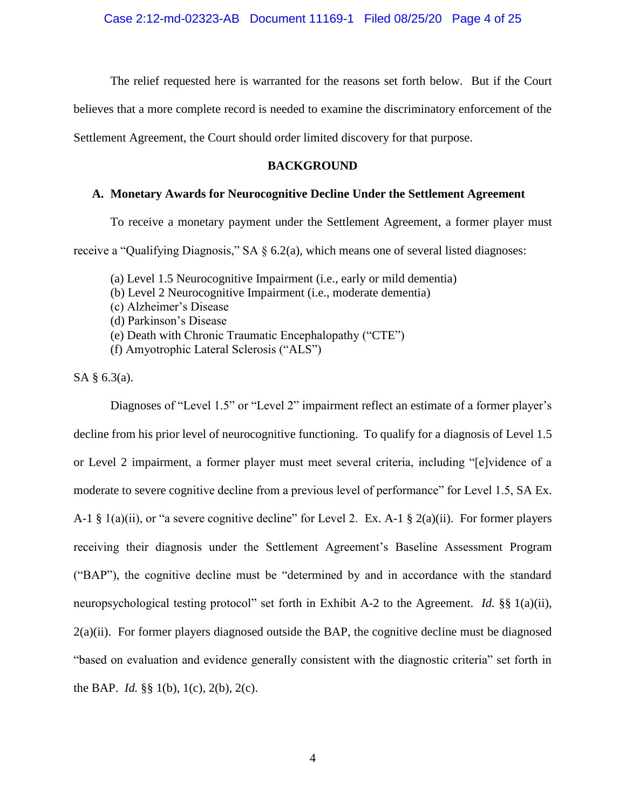The relief requested here is warranted for the reasons set forth below. But if the Court

believes that a more complete record is needed to examine the discriminatory enforcement of the

Settlement Agreement, the Court should order limited discovery for that purpose.

### **BACKGROUND**

### **A. Monetary Awards for Neurocognitive Decline Under the Settlement Agreement**

To receive a monetary payment under the Settlement Agreement, a former player must

receive a "Qualifying Diagnosis," SA  $\S$  6.2(a), which means one of several listed diagnoses:

- (a) Level 1.5 Neurocognitive Impairment (i.e., early or mild dementia)
- (b) Level 2 Neurocognitive Impairment (i.e., moderate dementia)
- (c) Alzheimer's Disease
- (d) Parkinson's Disease
- (e) Death with Chronic Traumatic Encephalopathy ("CTE")
- (f) Amyotrophic Lateral Sclerosis ("ALS")

SA § 6.3(a).

Diagnoses of "Level 1.5" or "Level 2" impairment reflect an estimate of a former player's decline from his prior level of neurocognitive functioning. To qualify for a diagnosis of Level 1.5 or Level 2 impairment, a former player must meet several criteria, including "[e]vidence of a moderate to severe cognitive decline from a previous level of performance" for Level 1.5, SA Ex. A-1  $\S$  1(a)(ii), or "a severe cognitive decline" for Level 2. Ex. A-1  $\S$  2(a)(ii). For former players receiving their diagnosis under the Settlement Agreement's Baseline Assessment Program ("BAP"), the cognitive decline must be "determined by and in accordance with the standard neuropsychological testing protocol" set forth in Exhibit A-2 to the Agreement. *Id.* §§ 1(a)(ii), 2(a)(ii). For former players diagnosed outside the BAP, the cognitive decline must be diagnosed "based on evaluation and evidence generally consistent with the diagnostic criteria" set forth in the BAP. *Id.* §§ 1(b), 1(c), 2(b), 2(c).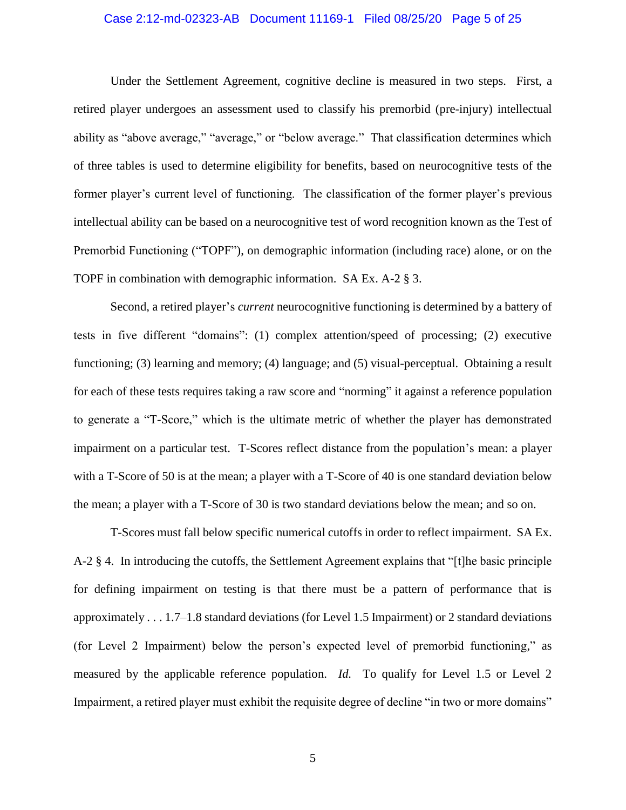#### Case 2:12-md-02323-AB Document 11169-1 Filed 08/25/20 Page 5 of 25

Under the Settlement Agreement, cognitive decline is measured in two steps. First, a retired player undergoes an assessment used to classify his premorbid (pre-injury) intellectual ability as "above average," "average," or "below average." That classification determines which of three tables is used to determine eligibility for benefits, based on neurocognitive tests of the former player's current level of functioning. The classification of the former player's previous intellectual ability can be based on a neurocognitive test of word recognition known as the Test of Premorbid Functioning ("TOPF"), on demographic information (including race) alone, or on the TOPF in combination with demographic information. SA Ex. A-2 § 3.

Second, a retired player's *current* neurocognitive functioning is determined by a battery of tests in five different "domains": (1) complex attention/speed of processing; (2) executive functioning; (3) learning and memory; (4) language; and (5) visual-perceptual. Obtaining a result for each of these tests requires taking a raw score and "norming" it against a reference population to generate a "T-Score," which is the ultimate metric of whether the player has demonstrated impairment on a particular test. T-Scores reflect distance from the population's mean: a player with a T-Score of 50 is at the mean; a player with a T-Score of 40 is one standard deviation below the mean; a player with a T-Score of 30 is two standard deviations below the mean; and so on.

T-Scores must fall below specific numerical cutoffs in order to reflect impairment. SA Ex. A-2 § 4. In introducing the cutoffs, the Settlement Agreement explains that "[t]he basic principle for defining impairment on testing is that there must be a pattern of performance that is approximately . . . 1.7–1.8 standard deviations (for Level 1.5 Impairment) or 2 standard deviations (for Level 2 Impairment) below the person's expected level of premorbid functioning," as measured by the applicable reference population. *Id.* To qualify for Level 1.5 or Level 2 Impairment, a retired player must exhibit the requisite degree of decline "in two or more domains"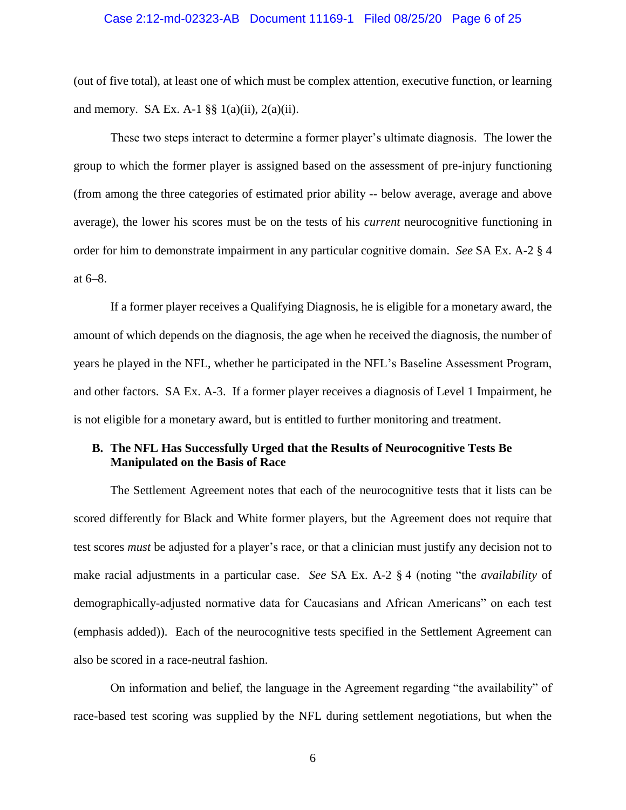#### Case 2:12-md-02323-AB Document 11169-1 Filed 08/25/20 Page 6 of 25

(out of five total), at least one of which must be complex attention, executive function, or learning and memory. SA Ex. A-1  $\S$ § 1(a)(ii), 2(a)(ii).

These two steps interact to determine a former player's ultimate diagnosis. The lower the group to which the former player is assigned based on the assessment of pre-injury functioning (from among the three categories of estimated prior ability -- below average, average and above average), the lower his scores must be on the tests of his *current* neurocognitive functioning in order for him to demonstrate impairment in any particular cognitive domain. *See* SA Ex. A-2 § 4 at 6–8.

If a former player receives a Qualifying Diagnosis, he is eligible for a monetary award, the amount of which depends on the diagnosis, the age when he received the diagnosis, the number of years he played in the NFL, whether he participated in the NFL's Baseline Assessment Program, and other factors. SA Ex. A-3. If a former player receives a diagnosis of Level 1 Impairment, he is not eligible for a monetary award, but is entitled to further monitoring and treatment.

### **B. The NFL Has Successfully Urged that the Results of Neurocognitive Tests Be Manipulated on the Basis of Race**

The Settlement Agreement notes that each of the neurocognitive tests that it lists can be scored differently for Black and White former players, but the Agreement does not require that test scores *must* be adjusted for a player's race, or that a clinician must justify any decision not to make racial adjustments in a particular case. *See* SA Ex. A-2 § 4 (noting "the *availability* of demographically-adjusted normative data for Caucasians and African Americans" on each test (emphasis added)). Each of the neurocognitive tests specified in the Settlement Agreement can also be scored in a race-neutral fashion.

On information and belief, the language in the Agreement regarding "the availability" of race-based test scoring was supplied by the NFL during settlement negotiations, but when the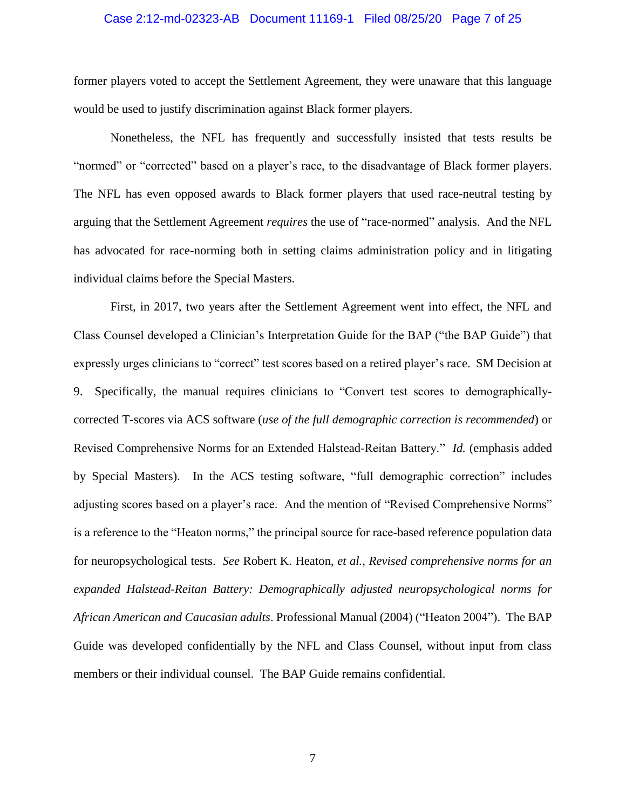#### Case 2:12-md-02323-AB Document 11169-1 Filed 08/25/20 Page 7 of 25

former players voted to accept the Settlement Agreement, they were unaware that this language would be used to justify discrimination against Black former players.

Nonetheless, the NFL has frequently and successfully insisted that tests results be "normed" or "corrected" based on a player's race, to the disadvantage of Black former players. The NFL has even opposed awards to Black former players that used race-neutral testing by arguing that the Settlement Agreement *requires* the use of "race-normed" analysis. And the NFL has advocated for race-norming both in setting claims administration policy and in litigating individual claims before the Special Masters.

First, in 2017, two years after the Settlement Agreement went into effect, the NFL and Class Counsel developed a Clinician's Interpretation Guide for the BAP ("the BAP Guide") that expressly urges clinicians to "correct" test scores based on a retired player's race. SM Decision at 9. Specifically, the manual requires clinicians to "Convert test scores to demographicallycorrected T-scores via ACS software (*use of the full demographic correction is recommended*) or Revised Comprehensive Norms for an Extended Halstead-Reitan Battery." *Id.* (emphasis added by Special Masters). In the ACS testing software, "full demographic correction" includes adjusting scores based on a player's race. And the mention of "Revised Comprehensive Norms" is a reference to the "Heaton norms," the principal source for race-based reference population data for neuropsychological tests. *See* Robert K. Heaton, *et al.*, *Revised comprehensive norms for an expanded Halstead-Reitan Battery: Demographically adjusted neuropsychological norms for African American and Caucasian adults*. Professional Manual (2004) ("Heaton 2004"). The BAP Guide was developed confidentially by the NFL and Class Counsel, without input from class members or their individual counsel. The BAP Guide remains confidential.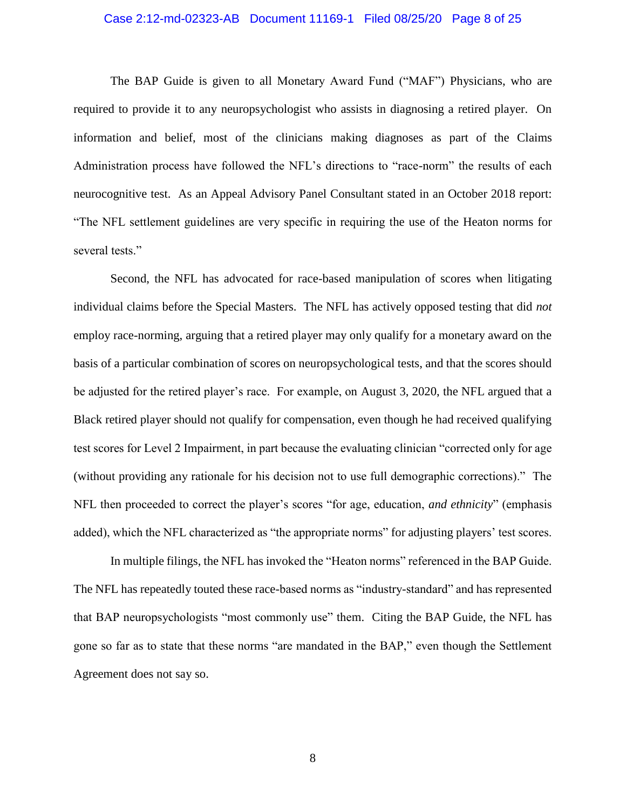#### Case 2:12-md-02323-AB Document 11169-1 Filed 08/25/20 Page 8 of 25

The BAP Guide is given to all Monetary Award Fund ("MAF") Physicians, who are required to provide it to any neuropsychologist who assists in diagnosing a retired player. On information and belief, most of the clinicians making diagnoses as part of the Claims Administration process have followed the NFL's directions to "race-norm" the results of each neurocognitive test. As an Appeal Advisory Panel Consultant stated in an October 2018 report: "The NFL settlement guidelines are very specific in requiring the use of the Heaton norms for several tests."

Second, the NFL has advocated for race-based manipulation of scores when litigating individual claims before the Special Masters. The NFL has actively opposed testing that did *not*  employ race-norming, arguing that a retired player may only qualify for a monetary award on the basis of a particular combination of scores on neuropsychological tests, and that the scores should be adjusted for the retired player's race. For example, on August 3, 2020, the NFL argued that a Black retired player should not qualify for compensation, even though he had received qualifying test scores for Level 2 Impairment, in part because the evaluating clinician "corrected only for age (without providing any rationale for his decision not to use full demographic corrections)." The NFL then proceeded to correct the player's scores "for age, education, *and ethnicity*" (emphasis added), which the NFL characterized as "the appropriate norms" for adjusting players' test scores.

In multiple filings, the NFL has invoked the "Heaton norms" referenced in the BAP Guide. The NFL has repeatedly touted these race-based norms as "industry-standard" and has represented that BAP neuropsychologists "most commonly use" them. Citing the BAP Guide, the NFL has gone so far as to state that these norms "are mandated in the BAP," even though the Settlement Agreement does not say so.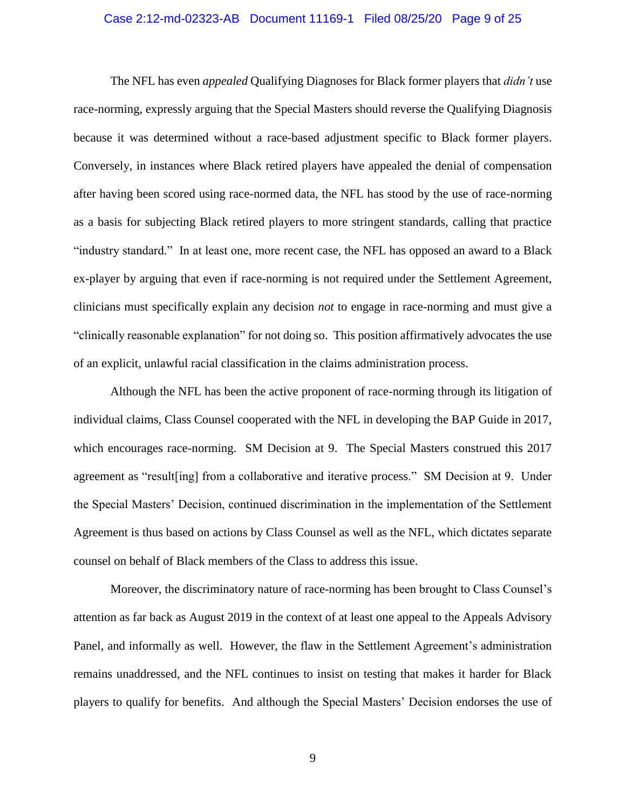#### Case 2:12-md-02323-AB Document 11169-1 Filed 08/25/20 Page 9 of 25

The NFL has even *appealed* Qualifying Diagnoses for Black former players that *didn't* use race-norming, expressly arguing that the Special Masters should reverse the Qualifying Diagnosis because it was determined without a race-based adjustment specific to Black former players. Conversely, in instances where Black retired players have appealed the denial of compensation after having been scored using race-normed data, the NFL has stood by the use of race-norming as a basis for subjecting Black retired players to more stringent standards, calling that practice "industry standard." In at least one, more recent case, the NFL has opposed an award to a Black ex-player by arguing that even if race-norming is not required under the Settlement Agreement, clinicians must specifically explain any decision *not* to engage in race-norming and must give a "clinically reasonable explanation" for not doing so. This position affirmatively advocates the use of an explicit, unlawful racial classification in the claims administration process.

Although the NFL has been the active proponent of race-norming through its litigation of individual claims, Class Counsel cooperated with the NFL in developing the BAP Guide in 2017, which encourages race-norming. SM Decision at 9. The Special Masters construed this 2017 agreement as "result[ing] from a collaborative and iterative process." SM Decision at 9. Under the Special Masters' Decision, continued discrimination in the implementation of the Settlement Agreement is thus based on actions by Class Counsel as well as the NFL, which dictates separate counsel on behalf of Black members of the Class to address this issue.

Moreover, the discriminatory nature of race-norming has been brought to Class Counsel's attention as far back as August 2019 in the context of at least one appeal to the Appeals Advisory Panel, and informally as well. However, the flaw in the Settlement Agreement's administration remains unaddressed, and the NFL continues to insist on testing that makes it harder for Black players to qualify for benefits. And although the Special Masters' Decision endorses the use of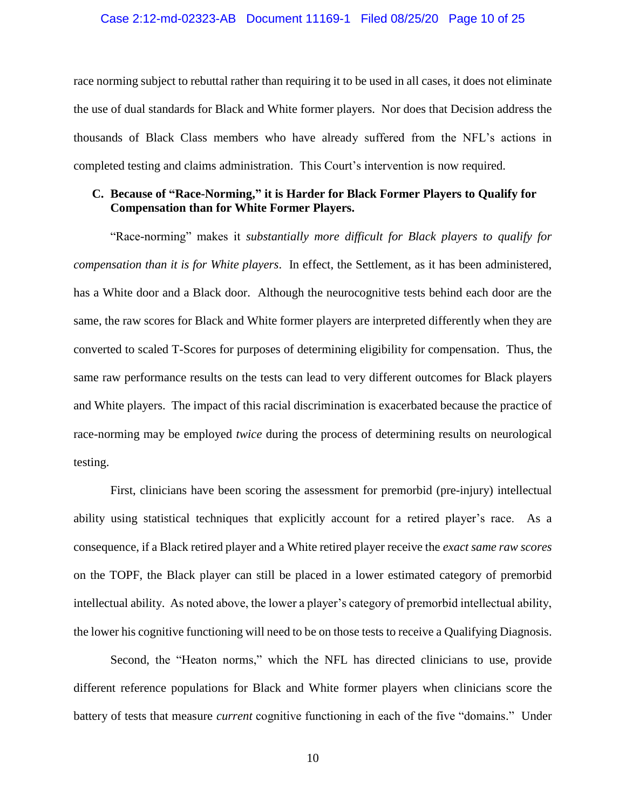#### Case 2:12-md-02323-AB Document 11169-1 Filed 08/25/20 Page 10 of 25

race norming subject to rebuttal rather than requiring it to be used in all cases, it does not eliminate the use of dual standards for Black and White former players. Nor does that Decision address the thousands of Black Class members who have already suffered from the NFL's actions in completed testing and claims administration. This Court's intervention is now required.

### **C. Because of "Race-Norming," it is Harder for Black Former Players to Qualify for Compensation than for White Former Players.**

"Race-norming" makes it *substantially more difficult for Black players to qualify for compensation than it is for White players*. In effect, the Settlement, as it has been administered, has a White door and a Black door. Although the neurocognitive tests behind each door are the same, the raw scores for Black and White former players are interpreted differently when they are converted to scaled T-Scores for purposes of determining eligibility for compensation. Thus, the same raw performance results on the tests can lead to very different outcomes for Black players and White players. The impact of this racial discrimination is exacerbated because the practice of race-norming may be employed *twice* during the process of determining results on neurological testing.

First, clinicians have been scoring the assessment for premorbid (pre-injury) intellectual ability using statistical techniques that explicitly account for a retired player's race. As a consequence, if a Black retired player and a White retired player receive the *exact same raw scores* on the TOPF, the Black player can still be placed in a lower estimated category of premorbid intellectual ability. As noted above, the lower a player's category of premorbid intellectual ability, the lower his cognitive functioning will need to be on those tests to receive a Qualifying Diagnosis.

Second, the "Heaton norms," which the NFL has directed clinicians to use, provide different reference populations for Black and White former players when clinicians score the battery of tests that measure *current* cognitive functioning in each of the five "domains." Under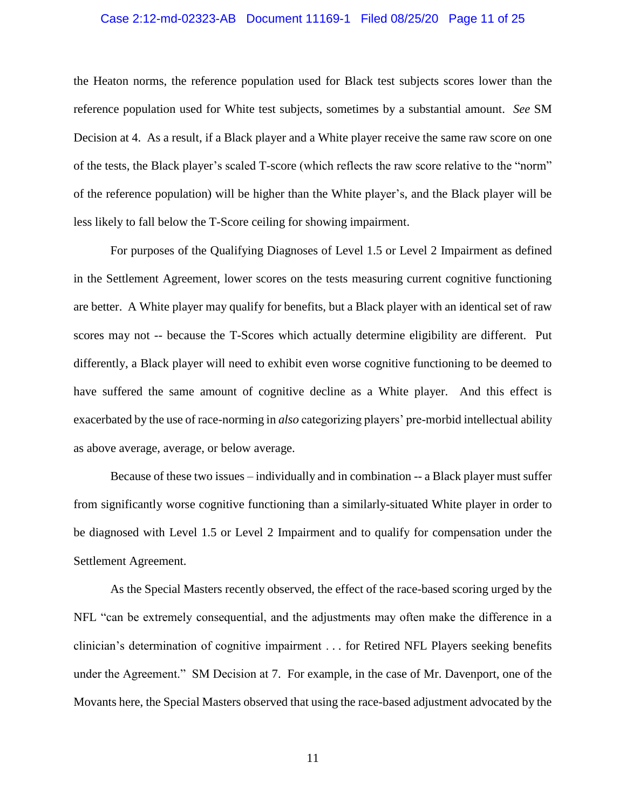#### Case 2:12-md-02323-AB Document 11169-1 Filed 08/25/20 Page 11 of 25

the Heaton norms, the reference population used for Black test subjects scores lower than the reference population used for White test subjects, sometimes by a substantial amount. *See* SM Decision at 4. As a result, if a Black player and a White player receive the same raw score on one of the tests, the Black player's scaled T-score (which reflects the raw score relative to the "norm" of the reference population) will be higher than the White player's, and the Black player will be less likely to fall below the T-Score ceiling for showing impairment.

For purposes of the Qualifying Diagnoses of Level 1.5 or Level 2 Impairment as defined in the Settlement Agreement, lower scores on the tests measuring current cognitive functioning are better. A White player may qualify for benefits, but a Black player with an identical set of raw scores may not -- because the T-Scores which actually determine eligibility are different. Put differently, a Black player will need to exhibit even worse cognitive functioning to be deemed to have suffered the same amount of cognitive decline as a White player. And this effect is exacerbated by the use of race-norming in *also* categorizing players' pre-morbid intellectual ability as above average, average, or below average.

Because of these two issues – individually and in combination -- a Black player must suffer from significantly worse cognitive functioning than a similarly-situated White player in order to be diagnosed with Level 1.5 or Level 2 Impairment and to qualify for compensation under the Settlement Agreement.

As the Special Masters recently observed, the effect of the race-based scoring urged by the NFL "can be extremely consequential, and the adjustments may often make the difference in a clinician's determination of cognitive impairment . . . for Retired NFL Players seeking benefits under the Agreement." SM Decision at 7. For example, in the case of Mr. Davenport, one of the Movants here, the Special Masters observed that using the race-based adjustment advocated by the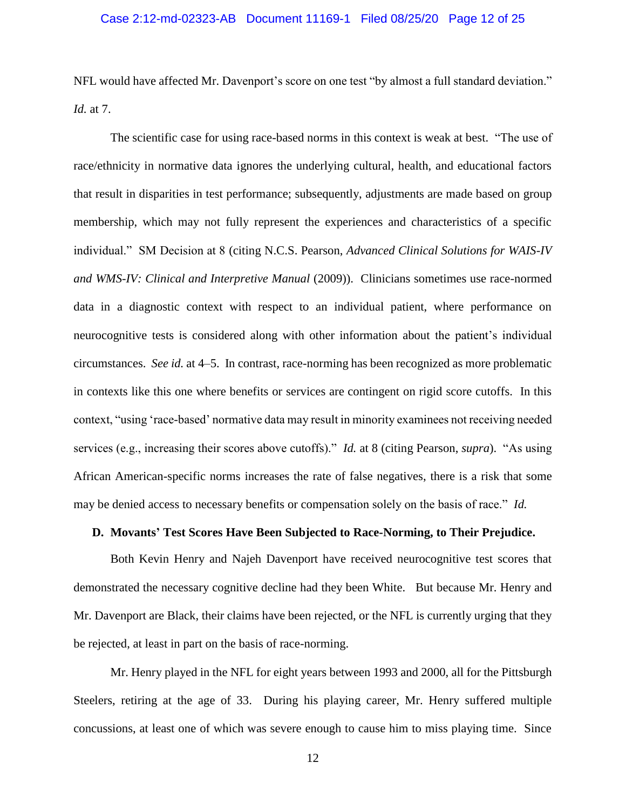#### Case 2:12-md-02323-AB Document 11169-1 Filed 08/25/20 Page 12 of 25

NFL would have affected Mr. Davenport's score on one test "by almost a full standard deviation." *Id.* at 7.

The scientific case for using race-based norms in this context is weak at best. "The use of race/ethnicity in normative data ignores the underlying cultural, health, and educational factors that result in disparities in test performance; subsequently, adjustments are made based on group membership, which may not fully represent the experiences and characteristics of a specific individual." SM Decision at 8 (citing N.C.S. Pearson, *Advanced Clinical Solutions for WAIS-IV and WMS-IV: Clinical and Interpretive Manual* (2009)). Clinicians sometimes use race-normed data in a diagnostic context with respect to an individual patient, where performance on neurocognitive tests is considered along with other information about the patient's individual circumstances. *See id.* at 4–5. In contrast, race-norming has been recognized as more problematic in contexts like this one where benefits or services are contingent on rigid score cutoffs. In this context, "using 'race-based' normative data may result in minority examinees not receiving needed services (e.g., increasing their scores above cutoffs)." *Id.* at 8 (citing Pearson, *supra*). "As using African American-specific norms increases the rate of false negatives, there is a risk that some may be denied access to necessary benefits or compensation solely on the basis of race." *Id.*

### **D. Movants' Test Scores Have Been Subjected to Race-Norming, to Their Prejudice.**

Both Kevin Henry and Najeh Davenport have received neurocognitive test scores that demonstrated the necessary cognitive decline had they been White. But because Mr. Henry and Mr. Davenport are Black, their claims have been rejected, or the NFL is currently urging that they be rejected, at least in part on the basis of race-norming.

Mr. Henry played in the NFL for eight years between 1993 and 2000, all for the Pittsburgh Steelers, retiring at the age of 33. During his playing career, Mr. Henry suffered multiple concussions, at least one of which was severe enough to cause him to miss playing time. Since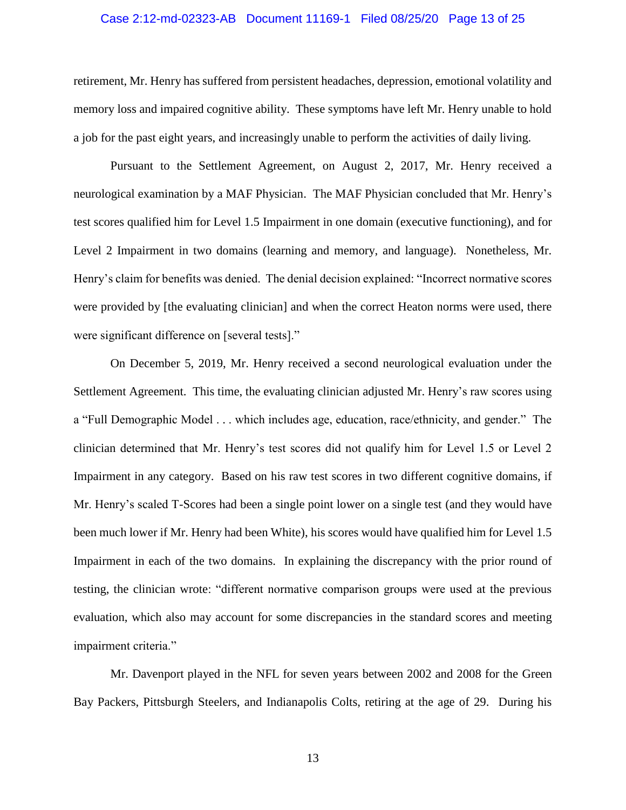#### Case 2:12-md-02323-AB Document 11169-1 Filed 08/25/20 Page 13 of 25

retirement, Mr. Henry has suffered from persistent headaches, depression, emotional volatility and memory loss and impaired cognitive ability. These symptoms have left Mr. Henry unable to hold a job for the past eight years, and increasingly unable to perform the activities of daily living.

Pursuant to the Settlement Agreement, on August 2, 2017, Mr. Henry received a neurological examination by a MAF Physician. The MAF Physician concluded that Mr. Henry's test scores qualified him for Level 1.5 Impairment in one domain (executive functioning), and for Level 2 Impairment in two domains (learning and memory, and language). Nonetheless, Mr. Henry's claim for benefits was denied. The denial decision explained: "Incorrect normative scores were provided by [the evaluating clinician] and when the correct Heaton norms were used, there were significant difference on [several tests]."

On December 5, 2019, Mr. Henry received a second neurological evaluation under the Settlement Agreement. This time, the evaluating clinician adjusted Mr. Henry's raw scores using a "Full Demographic Model . . . which includes age, education, race/ethnicity, and gender." The clinician determined that Mr. Henry's test scores did not qualify him for Level 1.5 or Level 2 Impairment in any category. Based on his raw test scores in two different cognitive domains, if Mr. Henry's scaled T-Scores had been a single point lower on a single test (and they would have been much lower if Mr. Henry had been White), his scores would have qualified him for Level 1.5 Impairment in each of the two domains. In explaining the discrepancy with the prior round of testing, the clinician wrote: "different normative comparison groups were used at the previous evaluation, which also may account for some discrepancies in the standard scores and meeting impairment criteria."

Mr. Davenport played in the NFL for seven years between 2002 and 2008 for the Green Bay Packers, Pittsburgh Steelers, and Indianapolis Colts, retiring at the age of 29. During his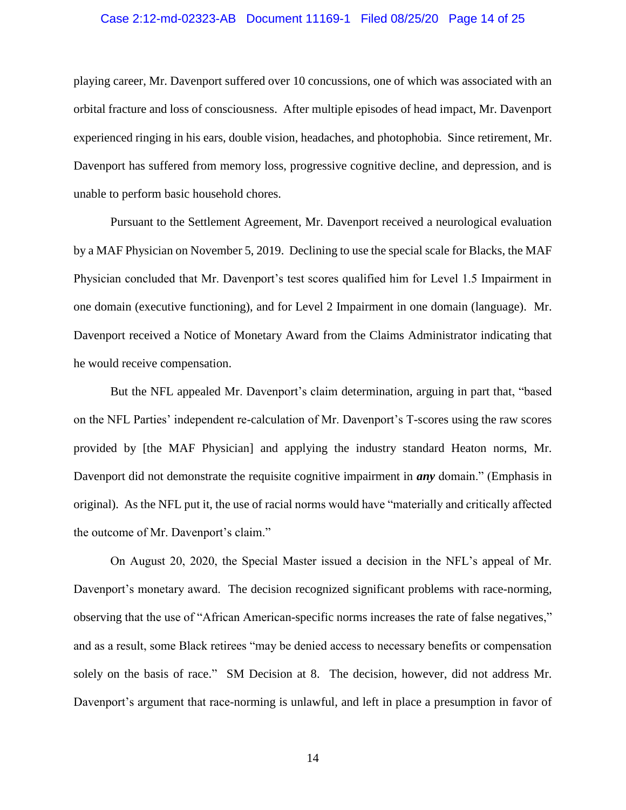#### Case 2:12-md-02323-AB Document 11169-1 Filed 08/25/20 Page 14 of 25

playing career, Mr. Davenport suffered over 10 concussions, one of which was associated with an orbital fracture and loss of consciousness. After multiple episodes of head impact, Mr. Davenport experienced ringing in his ears, double vision, headaches, and photophobia. Since retirement, Mr. Davenport has suffered from memory loss, progressive cognitive decline, and depression, and is unable to perform basic household chores.

Pursuant to the Settlement Agreement, Mr. Davenport received a neurological evaluation by a MAF Physician on November 5, 2019. Declining to use the special scale for Blacks, the MAF Physician concluded that Mr. Davenport's test scores qualified him for Level 1.5 Impairment in one domain (executive functioning), and for Level 2 Impairment in one domain (language). Mr. Davenport received a Notice of Monetary Award from the Claims Administrator indicating that he would receive compensation.

But the NFL appealed Mr. Davenport's claim determination, arguing in part that, "based on the NFL Parties' independent re-calculation of Mr. Davenport's T-scores using the raw scores provided by [the MAF Physician] and applying the industry standard Heaton norms, Mr. Davenport did not demonstrate the requisite cognitive impairment in *any* domain." (Emphasis in original). As the NFL put it, the use of racial norms would have "materially and critically affected the outcome of Mr. Davenport's claim."

On August 20, 2020, the Special Master issued a decision in the NFL's appeal of Mr. Davenport's monetary award. The decision recognized significant problems with race-norming, observing that the use of "African American-specific norms increases the rate of false negatives," and as a result, some Black retirees "may be denied access to necessary benefits or compensation solely on the basis of race." SM Decision at 8. The decision, however, did not address Mr. Davenport's argument that race-norming is unlawful, and left in place a presumption in favor of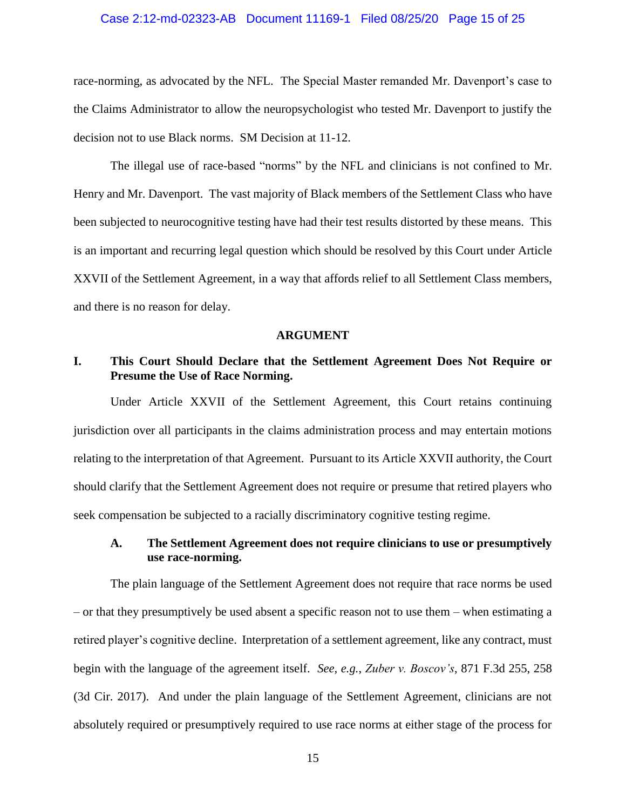#### Case 2:12-md-02323-AB Document 11169-1 Filed 08/25/20 Page 15 of 25

race-norming, as advocated by the NFL. The Special Master remanded Mr. Davenport's case to the Claims Administrator to allow the neuropsychologist who tested Mr. Davenport to justify the decision not to use Black norms. SM Decision at 11-12.

The illegal use of race-based "norms" by the NFL and clinicians is not confined to Mr. Henry and Mr. Davenport. The vast majority of Black members of the Settlement Class who have been subjected to neurocognitive testing have had their test results distorted by these means. This is an important and recurring legal question which should be resolved by this Court under Article XXVII of the Settlement Agreement, in a way that affords relief to all Settlement Class members, and there is no reason for delay.

#### **ARGUMENT**

## **I. This Court Should Declare that the Settlement Agreement Does Not Require or Presume the Use of Race Norming.**

Under Article XXVII of the Settlement Agreement, this Court retains continuing jurisdiction over all participants in the claims administration process and may entertain motions relating to the interpretation of that Agreement. Pursuant to its Article XXVII authority, the Court should clarify that the Settlement Agreement does not require or presume that retired players who seek compensation be subjected to a racially discriminatory cognitive testing regime.

### **A. The Settlement Agreement does not require clinicians to use or presumptively use race-norming.**

The plain language of the Settlement Agreement does not require that race norms be used – or that they presumptively be used absent a specific reason not to use them – when estimating a retired player's cognitive decline. Interpretation of a settlement agreement, like any contract, must begin with the language of the agreement itself. *See, e.g.*, *Zuber v. Boscov's*, 871 F.3d 255, 258 (3d Cir. 2017). And under the plain language of the Settlement Agreement, clinicians are not absolutely required or presumptively required to use race norms at either stage of the process for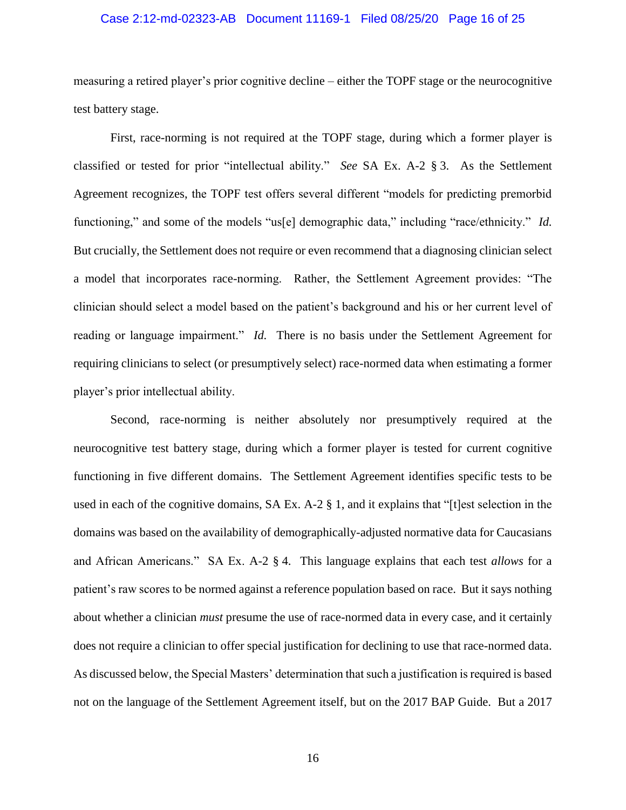#### Case 2:12-md-02323-AB Document 11169-1 Filed 08/25/20 Page 16 of 25

measuring a retired player's prior cognitive decline – either the TOPF stage or the neurocognitive test battery stage.

First, race-norming is not required at the TOPF stage, during which a former player is classified or tested for prior "intellectual ability." *See* SA Ex. A-2 § 3. As the Settlement Agreement recognizes, the TOPF test offers several different "models for predicting premorbid functioning," and some of the models "us[e] demographic data," including "race/ethnicity." *Id.* But crucially, the Settlement does not require or even recommend that a diagnosing clinician select a model that incorporates race-norming. Rather, the Settlement Agreement provides: "The clinician should select a model based on the patient's background and his or her current level of reading or language impairment." *Id.* There is no basis under the Settlement Agreement for requiring clinicians to select (or presumptively select) race-normed data when estimating a former player's prior intellectual ability.

Second, race-norming is neither absolutely nor presumptively required at the neurocognitive test battery stage, during which a former player is tested for current cognitive functioning in five different domains. The Settlement Agreement identifies specific tests to be used in each of the cognitive domains, SA Ex. A-2 § 1, and it explains that "[t]est selection in the domains was based on the availability of demographically-adjusted normative data for Caucasians and African Americans." SA Ex. A-2 § 4. This language explains that each test *allows* for a patient's raw scores to be normed against a reference population based on race. But it says nothing about whether a clinician *must* presume the use of race-normed data in every case, and it certainly does not require a clinician to offer special justification for declining to use that race-normed data. As discussed below, the Special Masters' determination that such a justification is required is based not on the language of the Settlement Agreement itself, but on the 2017 BAP Guide. But a 2017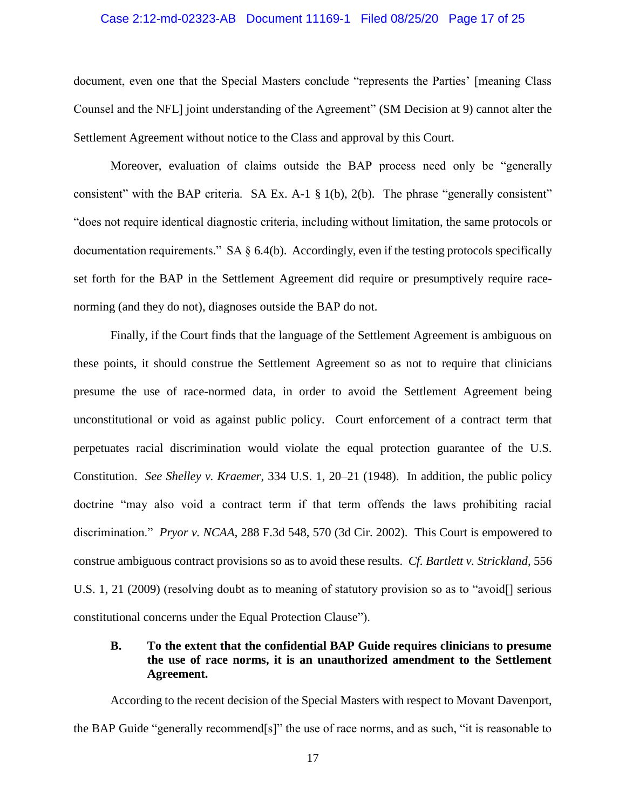#### Case 2:12-md-02323-AB Document 11169-1 Filed 08/25/20 Page 17 of 25

document, even one that the Special Masters conclude "represents the Parties' [meaning Class Counsel and the NFL] joint understanding of the Agreement" (SM Decision at 9) cannot alter the Settlement Agreement without notice to the Class and approval by this Court.

Moreover, evaluation of claims outside the BAP process need only be "generally consistent" with the BAP criteria. SA Ex. A-1 § 1(b), 2(b). The phrase "generally consistent" "does not require identical diagnostic criteria, including without limitation, the same protocols or documentation requirements." SA  $\S$  6.4(b). Accordingly, even if the testing protocols specifically set forth for the BAP in the Settlement Agreement did require or presumptively require racenorming (and they do not), diagnoses outside the BAP do not.

Finally, if the Court finds that the language of the Settlement Agreement is ambiguous on these points, it should construe the Settlement Agreement so as not to require that clinicians presume the use of race-normed data, in order to avoid the Settlement Agreement being unconstitutional or void as against public policy. Court enforcement of a contract term that perpetuates racial discrimination would violate the equal protection guarantee of the U.S. Constitution. *See Shelley v. Kraemer*, 334 U.S. 1, 20–21 (1948). In addition, the public policy doctrine "may also void a contract term if that term offends the laws prohibiting racial discrimination." *Pryor v. NCAA*, 288 F.3d 548, 570 (3d Cir. 2002). This Court is empowered to construe ambiguous contract provisions so as to avoid these results. *Cf. Bartlett v. Strickland*, 556 U.S. 1, 21 (2009) (resolving doubt as to meaning of statutory provision so as to "avoid[] serious constitutional concerns under the Equal Protection Clause").

## **B. To the extent that the confidential BAP Guide requires clinicians to presume the use of race norms, it is an unauthorized amendment to the Settlement Agreement.**

According to the recent decision of the Special Masters with respect to Movant Davenport, the BAP Guide "generally recommend[s]" the use of race norms, and as such, "it is reasonable to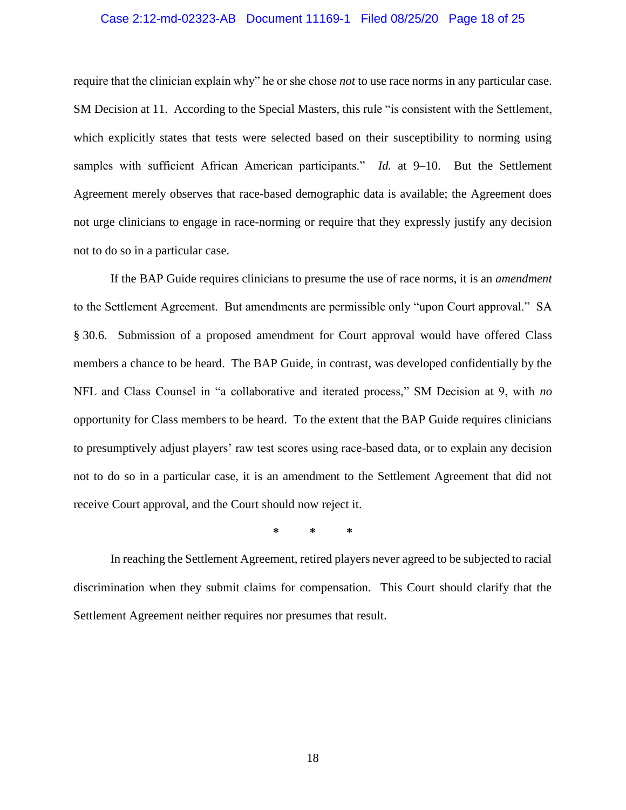#### Case 2:12-md-02323-AB Document 11169-1 Filed 08/25/20 Page 18 of 25

require that the clinician explain why" he or she chose *not* to use race norms in any particular case. SM Decision at 11. According to the Special Masters, this rule "is consistent with the Settlement, which explicitly states that tests were selected based on their susceptibility to norming using samples with sufficient African American participants." *Id.* at 9–10. But the Settlement Agreement merely observes that race-based demographic data is available; the Agreement does not urge clinicians to engage in race-norming or require that they expressly justify any decision not to do so in a particular case.

If the BAP Guide requires clinicians to presume the use of race norms, it is an *amendment* to the Settlement Agreement. But amendments are permissible only "upon Court approval." SA § 30.6. Submission of a proposed amendment for Court approval would have offered Class members a chance to be heard. The BAP Guide, in contrast, was developed confidentially by the NFL and Class Counsel in "a collaborative and iterated process," SM Decision at 9, with *no*  opportunity for Class members to be heard. To the extent that the BAP Guide requires clinicians to presumptively adjust players' raw test scores using race-based data, or to explain any decision not to do so in a particular case, it is an amendment to the Settlement Agreement that did not receive Court approval, and the Court should now reject it.

**\* \* \***

In reaching the Settlement Agreement, retired players never agreed to be subjected to racial discrimination when they submit claims for compensation. This Court should clarify that the Settlement Agreement neither requires nor presumes that result.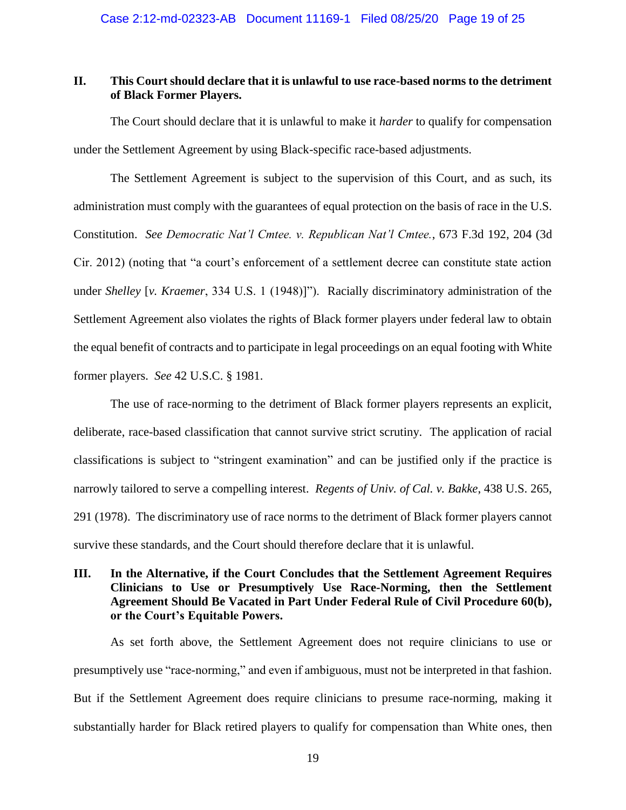## **II. This Court should declare that it is unlawful to use race-based norms to the detriment of Black Former Players.**

The Court should declare that it is unlawful to make it *harder* to qualify for compensation under the Settlement Agreement by using Black-specific race-based adjustments.

The Settlement Agreement is subject to the supervision of this Court, and as such, its administration must comply with the guarantees of equal protection on the basis of race in the U.S. Constitution. *See Democratic Nat'l Cmtee. v. Republican Nat'l Cmtee.*, 673 F.3d 192, 204 (3d Cir. 2012) (noting that "a court's enforcement of a settlement decree can constitute state action under *Shelley* [*v. Kraemer*, 334 U.S. 1 (1948)]"). Racially discriminatory administration of the Settlement Agreement also violates the rights of Black former players under federal law to obtain the equal benefit of contracts and to participate in legal proceedings on an equal footing with White former players. *See* 42 U.S.C. § 1981.

The use of race-norming to the detriment of Black former players represents an explicit, deliberate, race-based classification that cannot survive strict scrutiny. The application of racial classifications is subject to "stringent examination" and can be justified only if the practice is narrowly tailored to serve a compelling interest. *Regents of Univ. of Cal. v. Bakke*, 438 U.S. 265, 291 (1978). The discriminatory use of race norms to the detriment of Black former players cannot survive these standards, and the Court should therefore declare that it is unlawful.

## **III. In the Alternative, if the Court Concludes that the Settlement Agreement Requires Clinicians to Use or Presumptively Use Race-Norming, then the Settlement Agreement Should Be Vacated in Part Under Federal Rule of Civil Procedure 60(b), or the Court's Equitable Powers.**

As set forth above, the Settlement Agreement does not require clinicians to use or presumptively use "race-norming," and even if ambiguous, must not be interpreted in that fashion. But if the Settlement Agreement does require clinicians to presume race-norming, making it substantially harder for Black retired players to qualify for compensation than White ones, then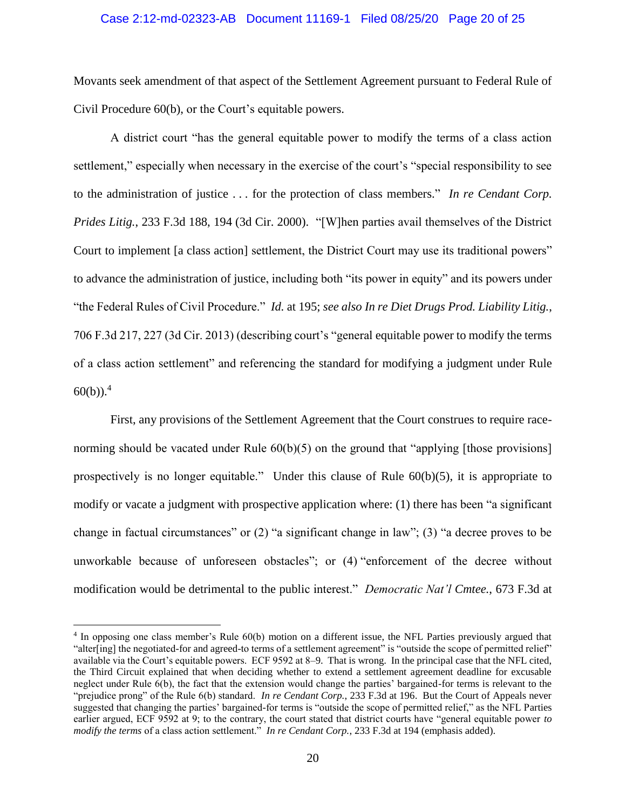#### Case 2:12-md-02323-AB Document 11169-1 Filed 08/25/20 Page 20 of 25

Movants seek amendment of that aspect of the Settlement Agreement pursuant to Federal Rule of Civil Procedure 60(b), or the Court's equitable powers.

A district court "has the general equitable power to modify the terms of a class action settlement," especially when necessary in the exercise of the court's "special responsibility to see to the administration of justice . . . for the protection of class members." *In re Cendant Corp. Prides Litig.*, 233 F.3d 188, 194 (3d Cir. 2000). "[W]hen parties avail themselves of the District Court to implement [a class action] settlement, the District Court may use its traditional powers" to advance the administration of justice, including both "its power in equity" and its powers under "the Federal Rules of Civil Procedure." *Id.* at 195; *see also In re Diet Drugs Prod. Liability Litig.*, 706 F.3d 217, 227 (3d Cir. 2013) (describing court's "general equitable power to modify the terms of a class action settlement" and referencing the standard for modifying a judgment under Rule  $60(b)$ .<sup>4</sup>

First, any provisions of the Settlement Agreement that the Court construes to require racenorming should be vacated under Rule  $60(b)(5)$  on the ground that "applying [those provisions] prospectively is no longer equitable." Under this clause of Rule 60(b)(5), it is appropriate to modify or vacate a judgment with prospective application where: (1) there has been "a significant change in factual circumstances" or (2) "a significant change in law"; (3) "a decree proves to be unworkable because of unforeseen obstacles"; or (4) "enforcement of the decree without modification would be detrimental to the public interest." *Democratic Nat'l Cmtee.*, 673 F.3d at

 $\overline{a}$ 

<sup>&</sup>lt;sup>4</sup> In opposing one class member's Rule 60(b) motion on a different issue, the NFL Parties previously argued that "alter[ing] the negotiated-for and agreed-to terms of a settlement agreement" is "outside the scope of permitted relief" available via the Court's equitable powers. ECF 9592 at 8–9. That is wrong. In the principal case that the NFL cited, the Third Circuit explained that when deciding whether to extend a settlement agreement deadline for excusable neglect under Rule 6(b), the fact that the extension would change the parties' bargained-for terms is relevant to the "prejudice prong" of the Rule 6(b) standard. *In re Cendant Corp.*, 233 F.3d at 196. But the Court of Appeals never suggested that changing the parties' bargained-for terms is "outside the scope of permitted relief," as the NFL Parties earlier argued, ECF 9592 at 9; to the contrary, the court stated that district courts have "general equitable power *to modify the terms* of a class action settlement." *In re Cendant Corp.*, 233 F.3d at 194 (emphasis added).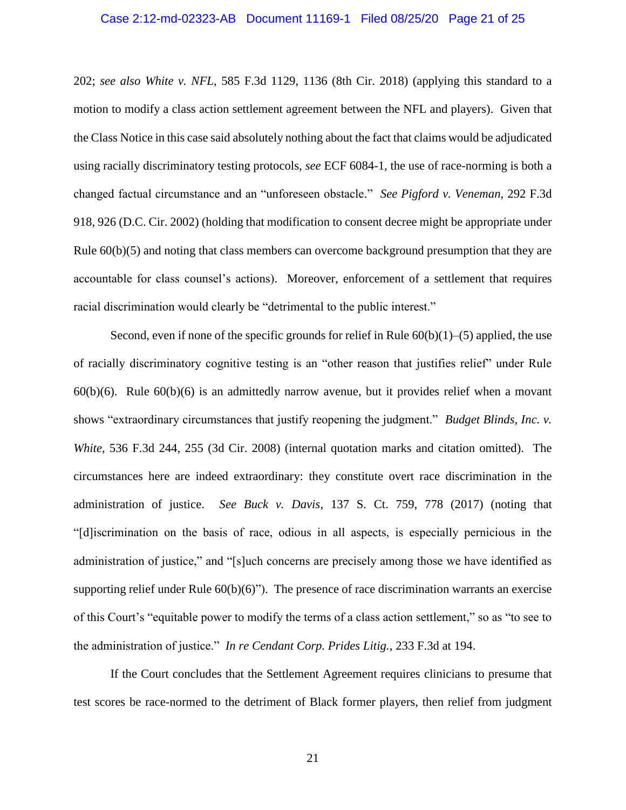#### Case 2:12-md-02323-AB Document 11169-1 Filed 08/25/20 Page 21 of 25

202; *see also White v. NFL*, 585 F.3d 1129, 1136 (8th Cir. 2018) (applying this standard to a motion to modify a class action settlement agreement between the NFL and players). Given that the Class Notice in this case said absolutely nothing about the fact that claims would be adjudicated using racially discriminatory testing protocols, *see* ECF 6084-1, the use of race-norming is both a changed factual circumstance and an "unforeseen obstacle." *See Pigford v. Veneman*, 292 F.3d 918, 926 (D.C. Cir. 2002) (holding that modification to consent decree might be appropriate under Rule  $60(b)(5)$  and noting that class members can overcome background presumption that they are accountable for class counsel's actions). Moreover, enforcement of a settlement that requires racial discrimination would clearly be "detrimental to the public interest."

Second, even if none of the specific grounds for relief in Rule  $60(b)(1)$ –(5) applied, the use of racially discriminatory cognitive testing is an "other reason that justifies relief" under Rule  $60(b)(6)$ . Rule  $60(b)(6)$  is an admittedly narrow avenue, but it provides relief when a movant shows "extraordinary circumstances that justify reopening the judgment." *Budget Blinds, Inc. v. White*, 536 F.3d 244, 255 (3d Cir. 2008) (internal quotation marks and citation omitted). The circumstances here are indeed extraordinary: they constitute overt race discrimination in the administration of justice. *See Buck v. Davis*, 137 S. Ct. 759, 778 (2017) (noting that "[d]iscrimination on the basis of race, odious in all aspects, is especially pernicious in the administration of justice," and "[s]uch concerns are precisely among those we have identified as supporting relief under Rule  $60(b)(6)$ "). The presence of race discrimination warrants an exercise of this Court's "equitable power to modify the terms of a class action settlement," so as "to see to the administration of justice." *In re Cendant Corp. Prides Litig.*, 233 F.3d at 194.

If the Court concludes that the Settlement Agreement requires clinicians to presume that test scores be race-normed to the detriment of Black former players, then relief from judgment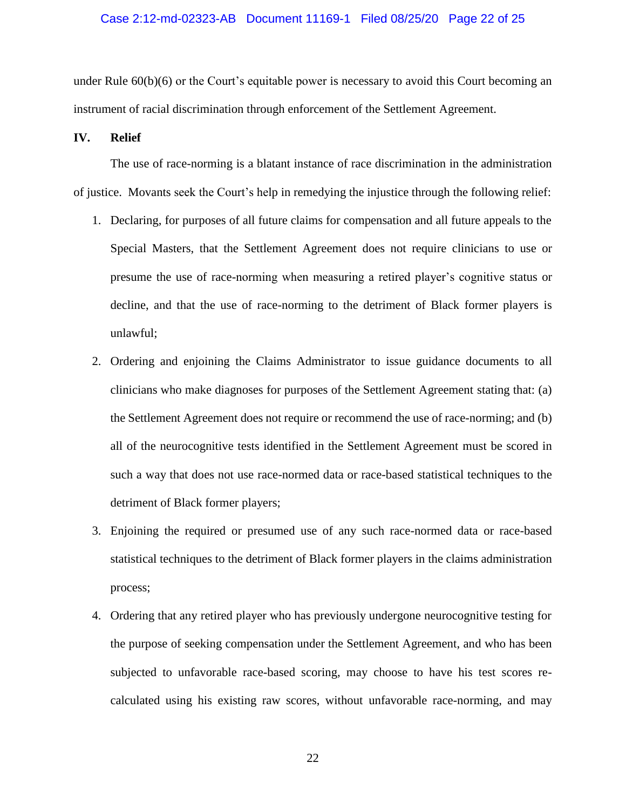#### Case 2:12-md-02323-AB Document 11169-1 Filed 08/25/20 Page 22 of 25

under Rule 60(b)(6) or the Court's equitable power is necessary to avoid this Court becoming an instrument of racial discrimination through enforcement of the Settlement Agreement.

#### **IV. Relief**

The use of race-norming is a blatant instance of race discrimination in the administration of justice. Movants seek the Court's help in remedying the injustice through the following relief:

- 1. Declaring, for purposes of all future claims for compensation and all future appeals to the Special Masters, that the Settlement Agreement does not require clinicians to use or presume the use of race-norming when measuring a retired player's cognitive status or decline, and that the use of race-norming to the detriment of Black former players is unlawful;
- 2. Ordering and enjoining the Claims Administrator to issue guidance documents to all clinicians who make diagnoses for purposes of the Settlement Agreement stating that: (a) the Settlement Agreement does not require or recommend the use of race-norming; and (b) all of the neurocognitive tests identified in the Settlement Agreement must be scored in such a way that does not use race-normed data or race-based statistical techniques to the detriment of Black former players;
- 3. Enjoining the required or presumed use of any such race-normed data or race-based statistical techniques to the detriment of Black former players in the claims administration process;
- 4. Ordering that any retired player who has previously undergone neurocognitive testing for the purpose of seeking compensation under the Settlement Agreement, and who has been subjected to unfavorable race-based scoring, may choose to have his test scores recalculated using his existing raw scores, without unfavorable race-norming, and may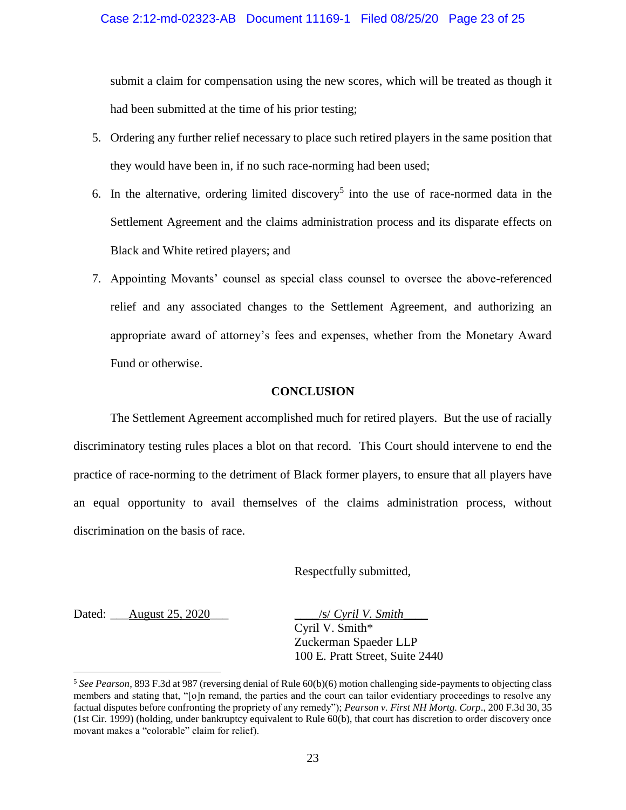submit a claim for compensation using the new scores, which will be treated as though it had been submitted at the time of his prior testing;

- 5. Ordering any further relief necessary to place such retired players in the same position that they would have been in, if no such race-norming had been used;
- 6. In the alternative, ordering limited discovery<sup>5</sup> into the use of race-normed data in the Settlement Agreement and the claims administration process and its disparate effects on Black and White retired players; and
- 7. Appointing Movants' counsel as special class counsel to oversee the above-referenced relief and any associated changes to the Settlement Agreement, and authorizing an appropriate award of attorney's fees and expenses, whether from the Monetary Award Fund or otherwise.

### **CONCLUSION**

The Settlement Agreement accomplished much for retired players. But the use of racially discriminatory testing rules places a blot on that record. This Court should intervene to end the practice of race-norming to the detriment of Black former players, to ensure that all players have an equal opportunity to avail themselves of the claims administration process, without discrimination on the basis of race.

Respectfully submitted,

Dated: \_\_\_August 25, 2020\_\_\_ \_\_\_\_/s/ *Cyril V. Smith*\_\_\_\_

 $\overline{a}$ 

Cyril V. Smith\* Zuckerman Spaeder LLP 100 E. Pratt Street, Suite 2440

<sup>5</sup> *See Pearson*, 893 F.3d at 987 (reversing denial of Rule 60(b)(6) motion challenging side-payments to objecting class members and stating that, "[o]n remand, the parties and the court can tailor evidentiary proceedings to resolve any factual disputes before confronting the propriety of any remedy"); *Pearson v. First NH Mortg. Corp*., 200 F.3d 30, 35 (1st Cir. 1999) (holding, under bankruptcy equivalent to Rule 60(b), that court has discretion to order discovery once movant makes a "colorable" claim for relief).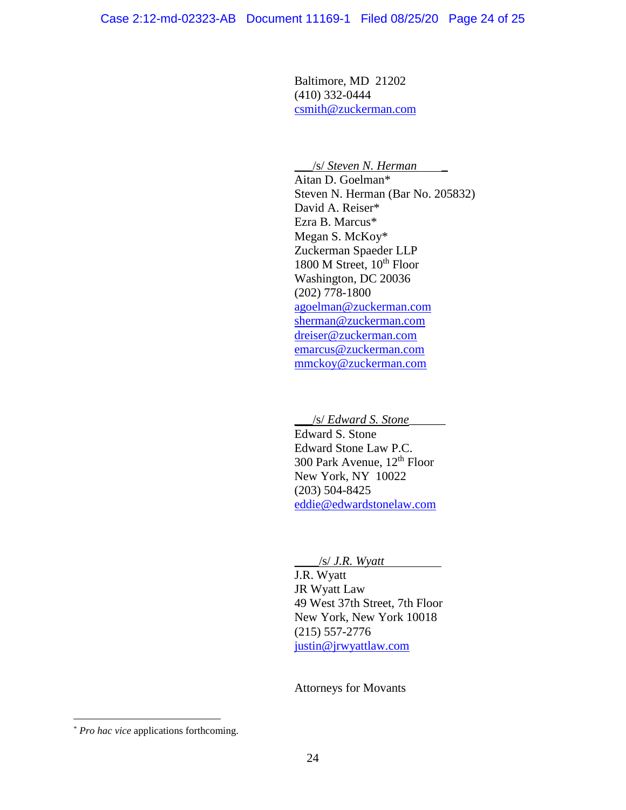Baltimore, MD 21202 (410) 332-0444 [csmith@zuckerman.com](mailto:csmith@zuckerman.com)

#### \_\_\_/s/ *Steven N. Herman* \_

Aitan D. Goelman\* Steven N. Herman (Bar No. 205832) David A. Reiser\* Ezra B. Marcus\* Megan S. McKoy\* Zuckerman Spaeder LLP 1800 M Street, 10<sup>th</sup> Floor Washington, DC 20036 (202) 778-1800 [agoelman@zuckerman.com](mailto:agoelman@zuckerman.com) [sherman@zuckerman.com](mailto:sherman@zuckerman.com) [dreiser@zuckerman.com](mailto:dreiser@zuckerman.com) [emarcus@zuckerman.com](mailto:emarcus@zuckerman.com) mmckoy@zuckerman.com

\_\_\_/s/ *Edward S. Stone*\_\_\_\_\_\_ Edward S. Stone Edward Stone Law P.C. 300 Park Avenue,  $12^{th}$  Floor New York, NY 10022 (203) 504-8425 [eddie@edwardstonelaw.com](mailto:eddie@edwardstonelaw.com)

\_\_\_\_/s/ *J.R. Wyatt*

J.R. Wyatt JR Wyatt Law 49 West 37th Street, 7th Floor New York, New York 10018 (215) 557-2776 [justin@jrwyattlaw.com](mailto:justin@jrwyattlaw.com)

Attorneys for Movants

 $\overline{a}$ 

<sup>\*</sup> *Pro hac vice* applications forthcoming.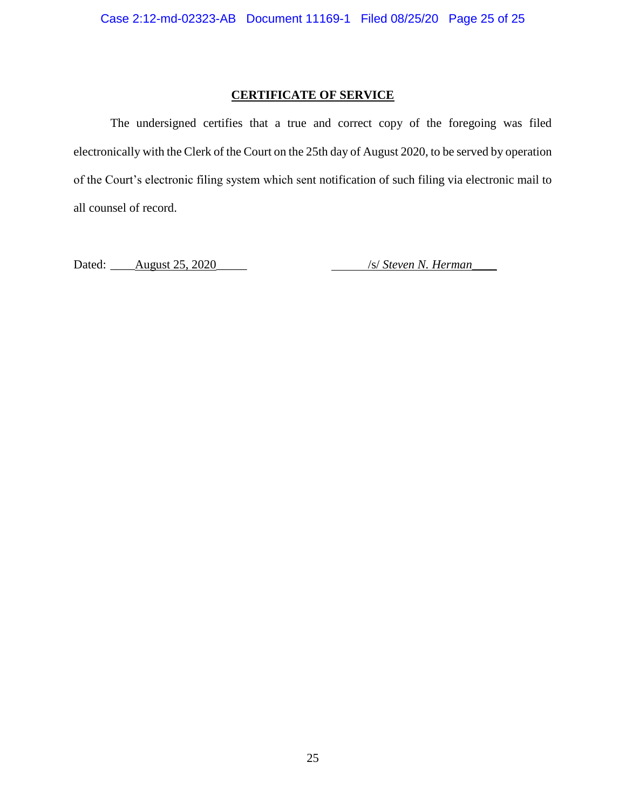### **CERTIFICATE OF SERVICE**

The undersigned certifies that a true and correct copy of the foregoing was filed electronically with the Clerk of the Court on the 25th day of August 2020, to be served by operation of the Court's electronic filing system which sent notification of such filing via electronic mail to all counsel of record.

Dated: <u>August 25, 2020</u> /s/ *Steven N. Herman*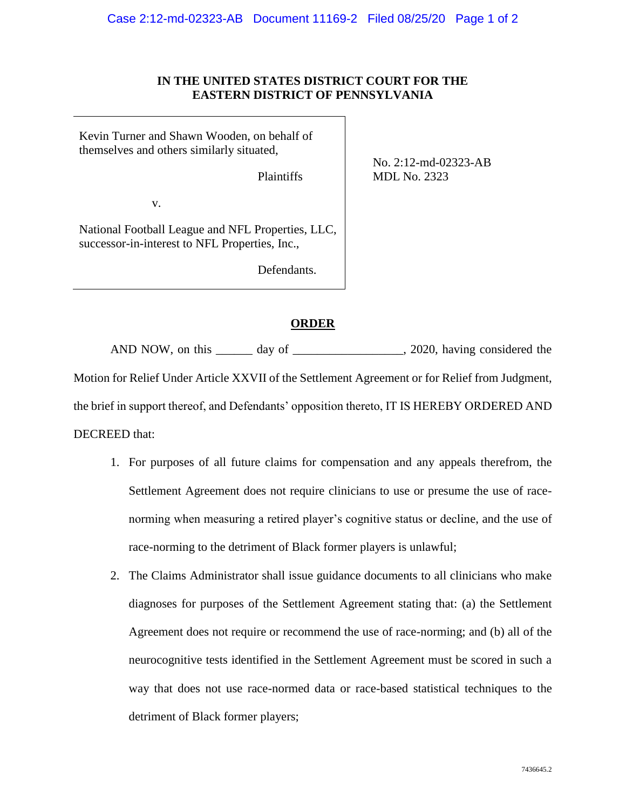### **IN THE UNITED STATES DISTRICT COURT FOR THE EASTERN DISTRICT OF PENNSYLVANIA**

Kevin Turner and Shawn Wooden, on behalf of themselves and others similarly situated,

Plaintiffs

No. 2:12-md-02323-AB MDL No. 2323

v.

National Football League and NFL Properties, LLC, successor-in-interest to NFL Properties, Inc.,

Defendants.

## **ORDER**

AND NOW, on this \_\_\_\_\_\_ day of \_\_\_\_\_\_\_\_\_\_\_\_\_\_\_\_\_, 2020, having considered the Motion for Relief Under Article XXVII of the Settlement Agreement or for Relief from Judgment, the brief in support thereof, and Defendants' opposition thereto, IT IS HEREBY ORDERED AND DECREED that:

- 1. For purposes of all future claims for compensation and any appeals therefrom, the Settlement Agreement does not require clinicians to use or presume the use of racenorming when measuring a retired player's cognitive status or decline, and the use of race-norming to the detriment of Black former players is unlawful;
- 2. The Claims Administrator shall issue guidance documents to all clinicians who make diagnoses for purposes of the Settlement Agreement stating that: (a) the Settlement Agreement does not require or recommend the use of race-norming; and (b) all of the neurocognitive tests identified in the Settlement Agreement must be scored in such a way that does not use race-normed data or race-based statistical techniques to the detriment of Black former players;